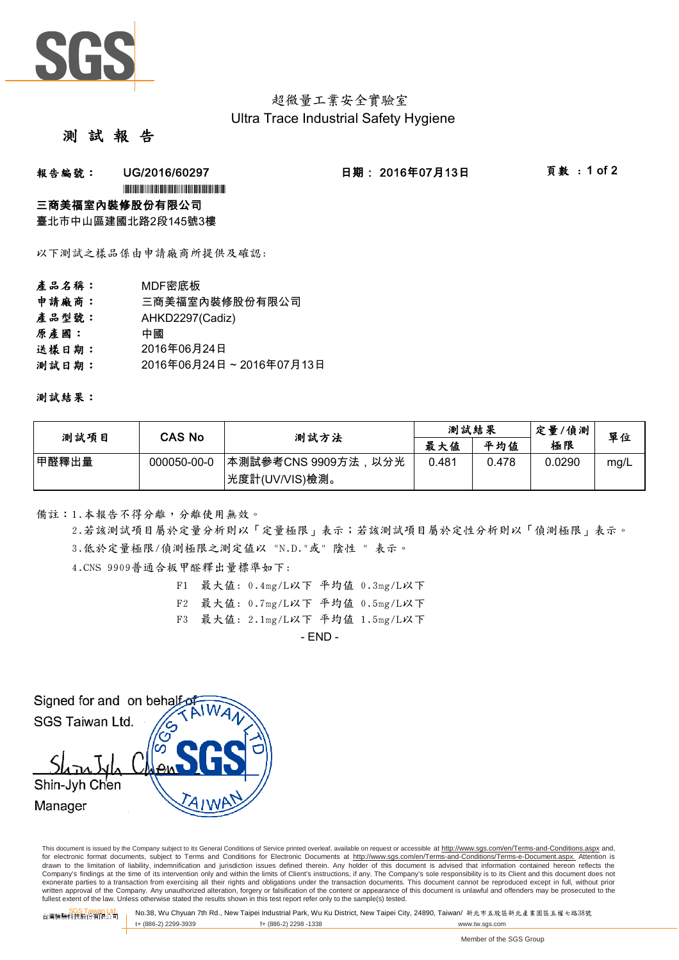

# 超微量工業安全實驗室 Ultra Trace Industrial Safety Hygiene

## 測 試 報

## **報告編號: UG/2016/60297 日期:2016年07月13日 頁數:1 of 2**

\*UG/2016/60297\*UG/2016/60297\*UG/2016/60297\*UG/2016

### 三商美福室內裝修股份有限公司

臺北市中山區建國北路2段145號3樓

以下測試之樣品係由申請廠商所提供及確認:

- 產品名稱: MDF密底板
- 申請廠商: 三商美福室內裝修股份有限公司
- 產品型號: AHKD2297(Cadiz)
- 原產國: 中國
- 送樣日期: 2016年06月24日
- 測試日期: 2016年06月24日~2016年07月13日

測試結果:

| 测試項目  | CAS No      | 測試方法                 | 測試結果  |       | 定量/偵測  | 單位   |
|-------|-------------|----------------------|-------|-------|--------|------|
|       |             |                      | 最大值   | 平均值   | 極限     |      |
| 甲醛釋出量 | 000050-00-0 | ┃本測試參考CNS 9909方法,以分光 | 0.481 | 0.478 | 0.0290 | mg/L |
|       |             | 光度計(UV/VIS)檢測。       |       |       |        |      |

備註:1.本報告不得分離,分離使用無效。

3.低於定量極限/偵測極限之測定值以 "N.D."或" 陰性 " 表示。 2.若該測試項目屬於定量分析則以「定量極限」表示;若該測試項目屬於定性分析則以「偵測極限」表示。

4.CNS 9909普通合板甲醛釋出量標準如下:

- F1 最大值: 0.4mg/L以下 平均值 0.3mg/L以下
- F2 最大值: 0.7mg/L以下 平均值 0.5mg/L以下
- F3 最大值: 2.1mg/L以下 平均值 1.5mg/L以下

 $-$  END  $-$ 

Signed for and on behalfs SGS Taiwan Ltd. Shin-Jyh Chen Manager

This document is issued by the Company subject to its General Conditions of Service printed overleaf, available on request or accessible at http://www.sgs.com/en/Terms-and-Conditions.aspx and, for electronic format documents, subject to Terms and Conditions for Electronic Documents at http://www.sgs.com/en/Terms-and-Conditions/Terms-e-Document.aspx. Attention is drawn to the limitation of liability, indemnification and jurisdiction issues defined therein. Any holder of this document is advised that information contained hereon reflects the Company's findings at the time of its intervention only and within the limits of Client's instructions, if any. The Company's sole responsibility is to its Client and this document does not exonerate parties to a transaction from exercising all their rights and obligations under the transaction documents. This document cannot be reproduced except in full, without prior written approval of the Company. Any unauthorized alteration, forgery or falsification of the content or appearance of this document is unlawful and offenders may be prosecuted to the<br>fullest extent of the law. Unless othe

SGS Taiwan Ltd. 台灣檢驗科技股份有限公司 No.38, Wu Chyuan 7th Rd., New Taipei Industrial Park, Wu Ku District, New Taipei City, 24890, Taiwan/ 新北市五股區新北產業園區五權七路38號 t+ (886-2) 2299-3939 f+ (886-2) 2298 -1338